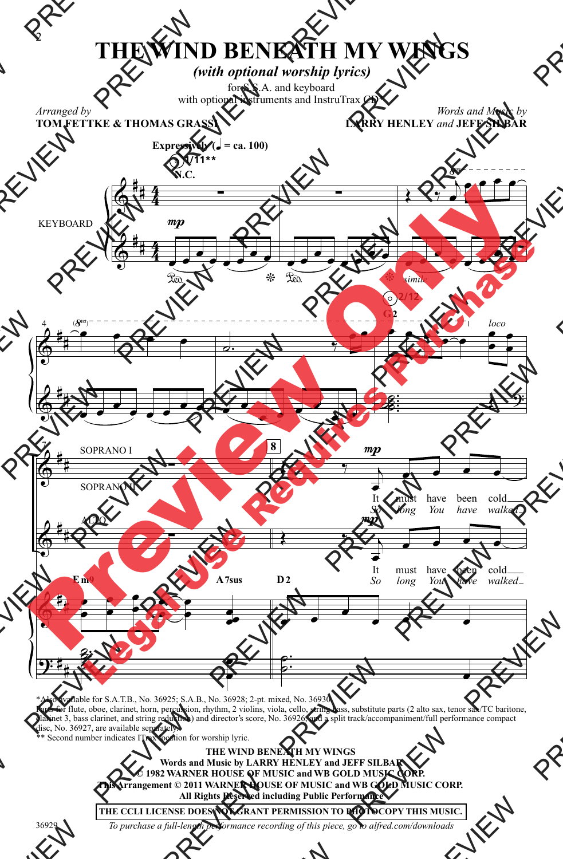## **THE WIND BENEATH MY WINGS**

## *(with optional worship lyrics)*

for S.S.A. and keyboard with optional instruments and InstruTrax CD\*

*Words and Music by*  **LARRY HENLEY** *and* **JEFF SILBAR**



\*Also available for S.A.T.B., No. 36925; S.A.B., No. 36928; 2-pt. mixed, No. 36930. Parts for flute, oboe, clarinet, horn, percussion, rhythm, 2 violins, viola, cello, string bass, substitute parts (2 alto sax, tenor sax/TC baritone, clarinet 3, bass clarinet, and string reduction) and director's score, No. 36926, and a split track/accompaniment/full performance compact disc, No. 36927, are available separately.

\*\* Second number indicates ITrax location for worship lyric.

## **THE WIND BENEATH MY WINGS**

## **Words and Music by LARRY HENLEY and JEFF SILBAR**

**© 1982 WARNER HOUSE OF MUSIC and WB GOLD MUSIC CORP. This Arrangement © 2011 WARNER HOUSE OF MUSIC and WB GOLD MUSIC CORP.**

**All Rights Reserved including Public Performance**

**THE CCLI LICENSE DOES NOT GRANT PERMISSION TO PHOTOCOPY THIS MUSIC.**

*Arranged by* 

**TOM FETTKE & THOMAS GRASSI**

*To purchase a full-length performance recording of this piece, go to alfred.com/downloads*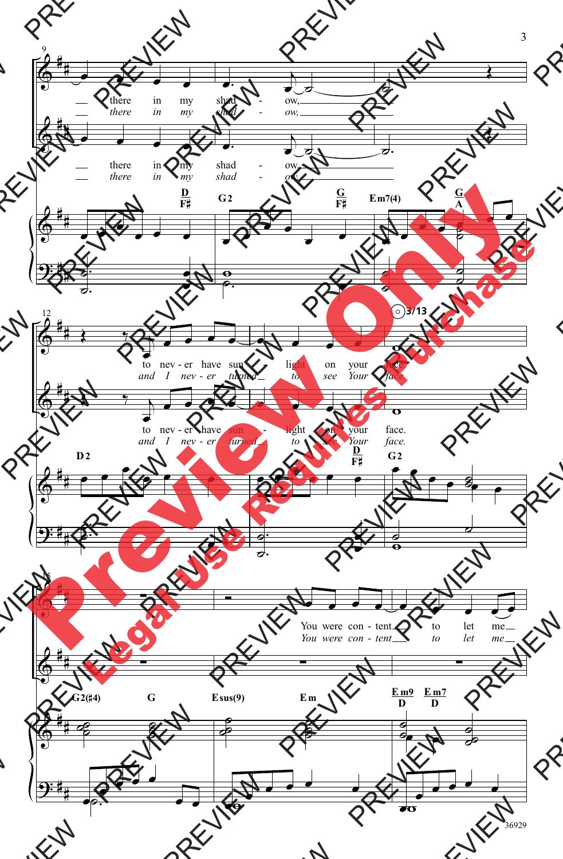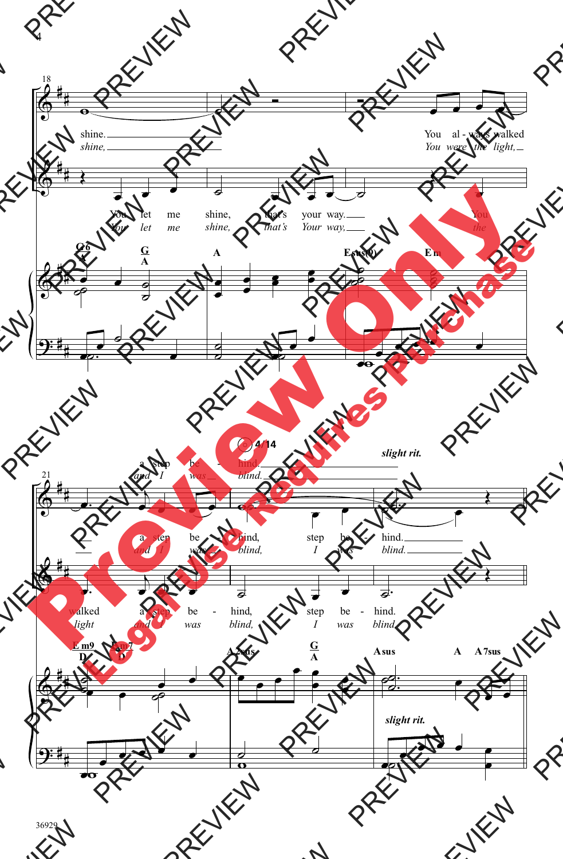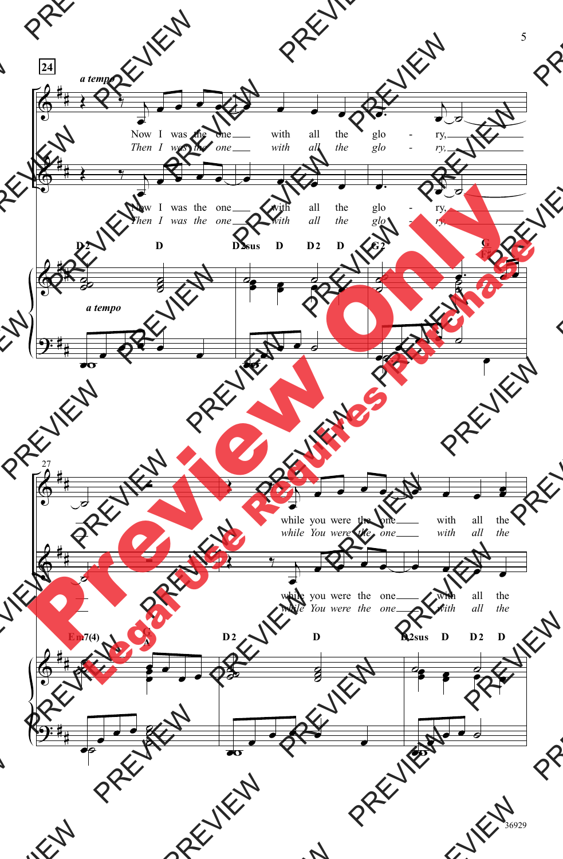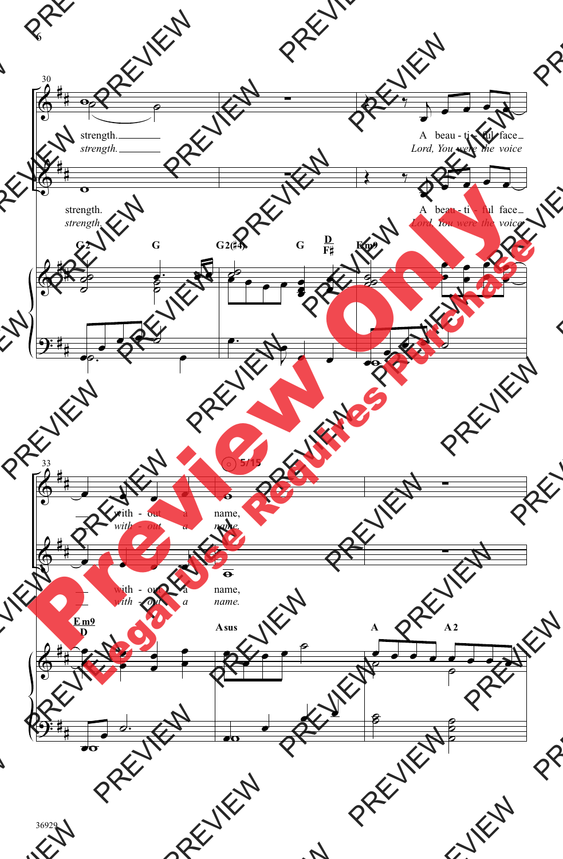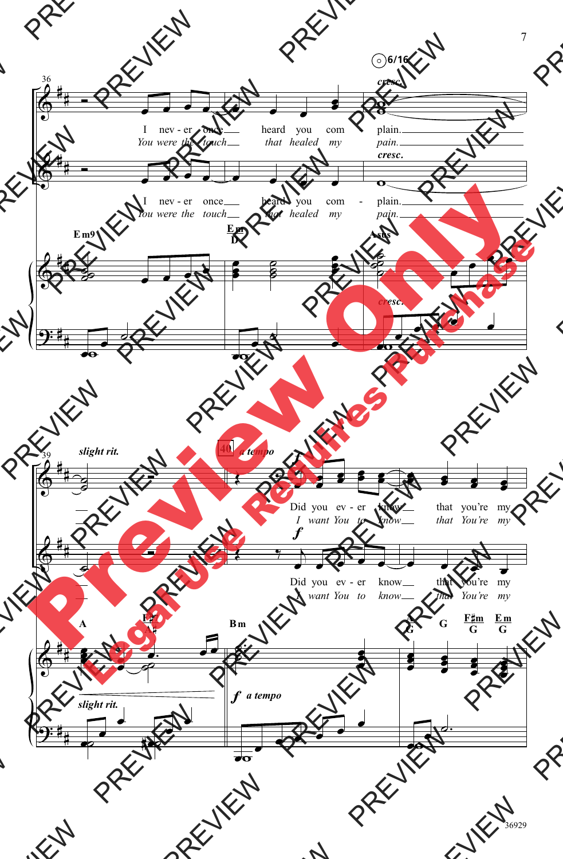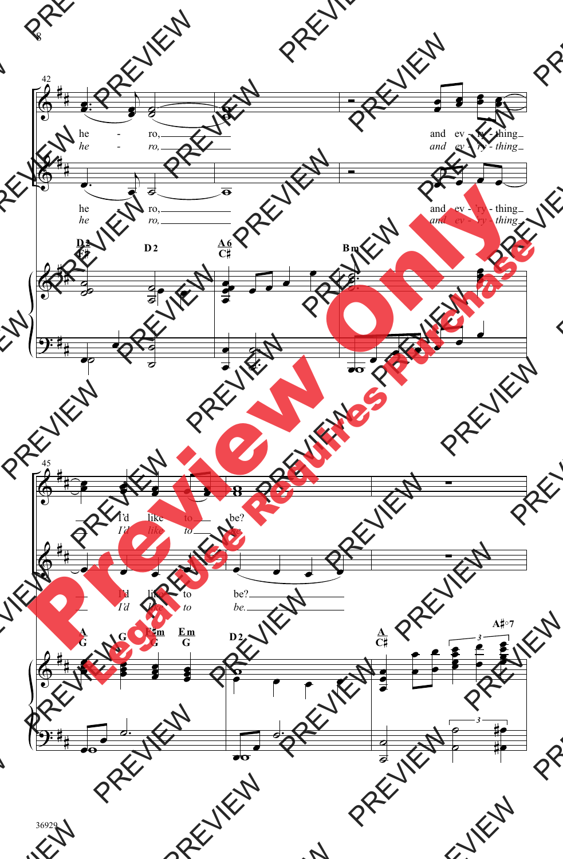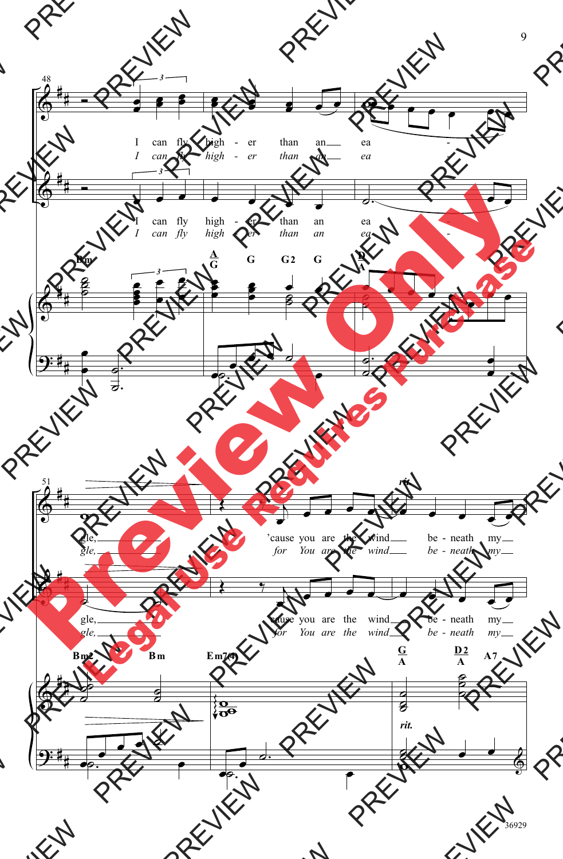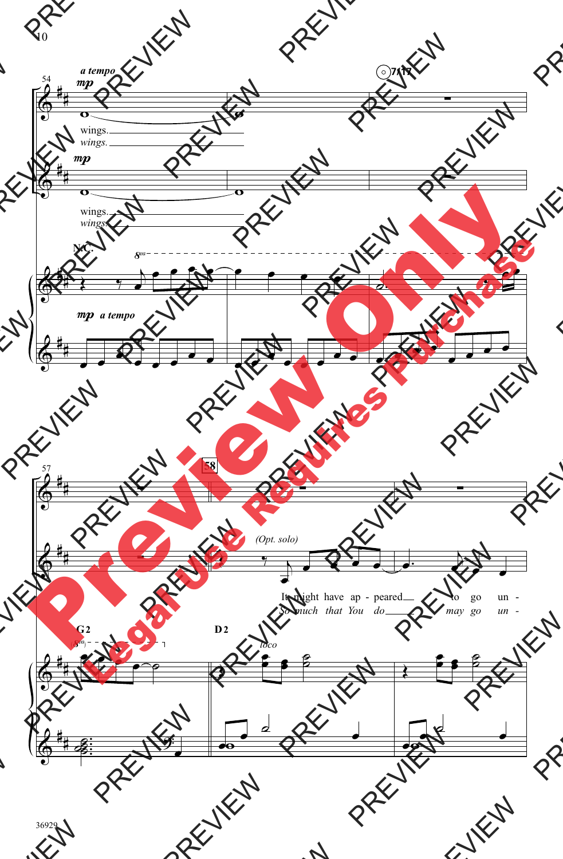

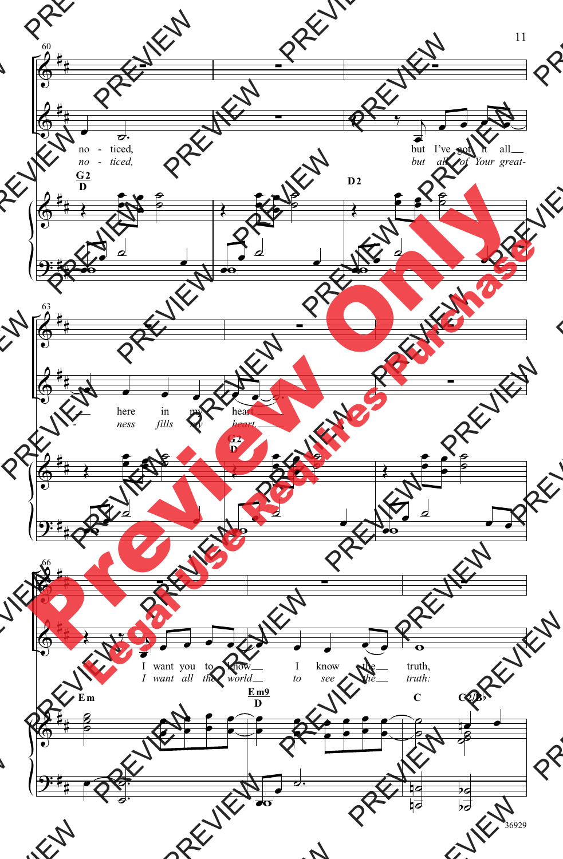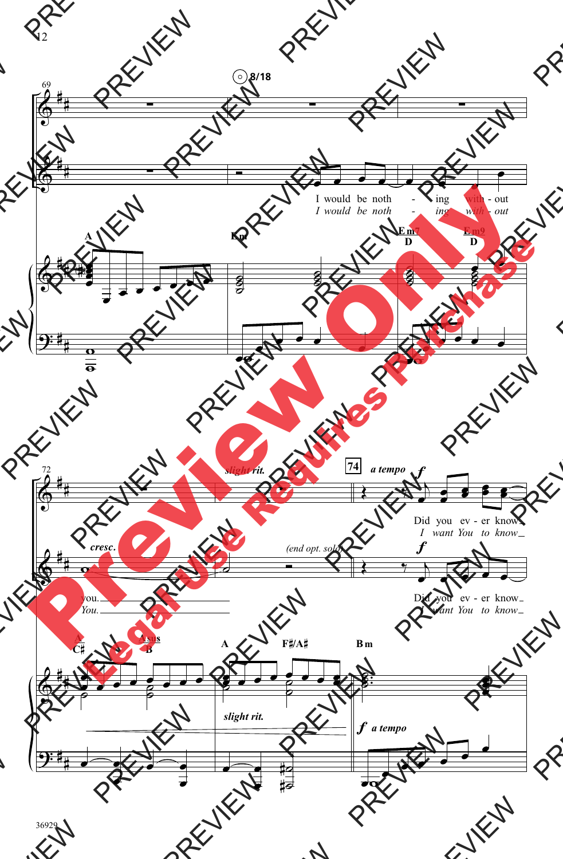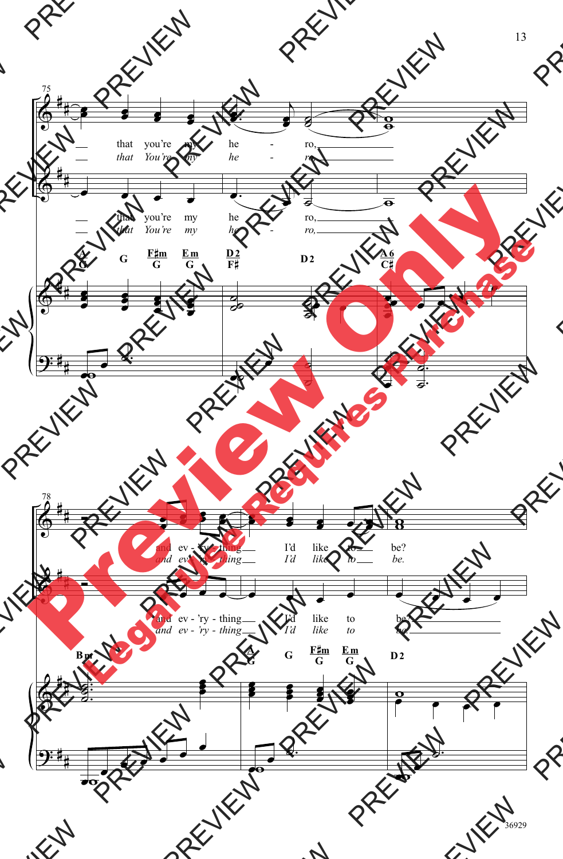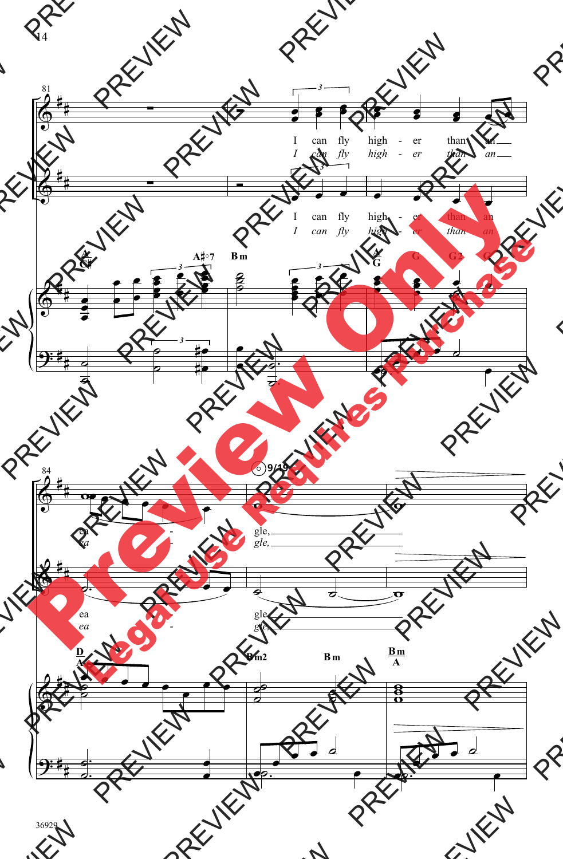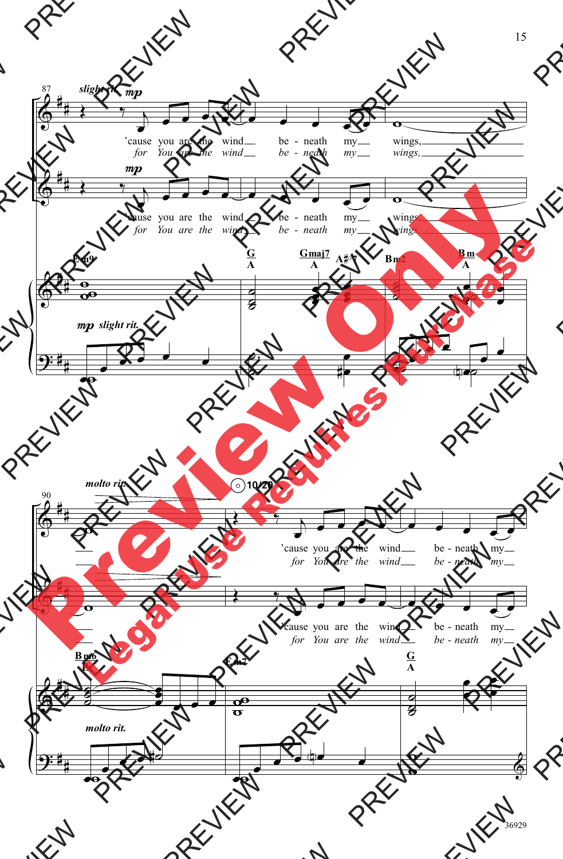